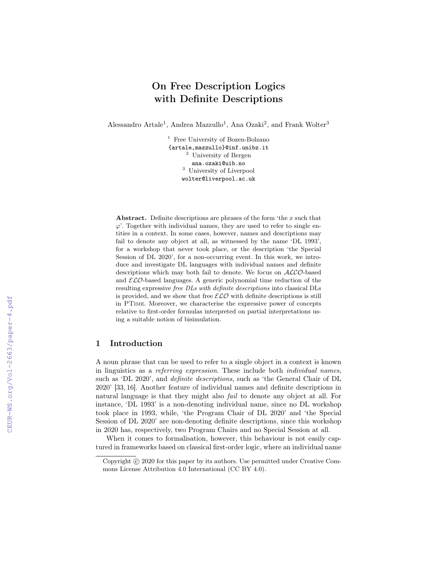# On Free Description Logics with Definite Descriptions

Alessandro Artale<sup>1</sup>, Andrea Mazzullo<sup>1</sup>, Ana Ozaki<sup>2</sup>, and Frank Wolter<sup>3</sup>

<sup>1</sup> Free University of Bozen-Bolzano {artale,mazzullo}@inf.unibz.it <sup>2</sup> University of Bergen ana.ozaki@uib.no <sup>3</sup> University of Liverpool wolter@liverpool.ac.uk

Abstract. Definite descriptions are phrases of the form 'the  $x$  such that  $\varphi'$ . Together with individual names, they are used to refer to single entities in a context. In some cases, however, names and descriptions may fail to denote any object at all, as witnessed by the name 'DL 1993', for a workshop that never took place, or the description 'the Special Session of DL 2020', for a non-occurring event. In this work, we introduce and investigate DL languages with individual names and definite descriptions which may both fail to denote. We focus on ALCO-based and  $\mathcal{ELO}$ -based languages. A generic polynomial time reduction of the resulting expressive free DLs with definite descriptions into classical DLs is provided, and we show that free  $\mathcal{ELO}$  with definite descriptions is still in PTime. Moreover, we characterise the expressive power of concepts relative to first-order formulas interpreted on partial interpretations using a suitable notion of bisimulation.

# 1 Introduction

A noun phrase that can be used to refer to a single object in a context is known in linguistics as a referring expression. These include both individual names, such as 'DL 2020', and definite descriptions, such as 'the General Chair of DL 2020' [33, 16]. Another feature of individual names and definite descriptions in natural language is that they might also fail to denote any object at all. For instance, 'DL 1993' is a non-denoting individual name, since no DL workshop took place in 1993, while, 'the Program Chair of DL 2020' and 'the Special Session of DL 2020' are non-denoting definite descriptions, since this workshop in 2020 has, respectively, two Program Chairs and no Special Session at all.

When it comes to formalisation, however, this behaviour is not easily captured in frameworks based on classical first-order logic, where an individual name

Copyright  $\odot$  2020 for this paper by its authors. Use permitted under Creative Commons License Attribution 4.0 International (CC BY 4.0).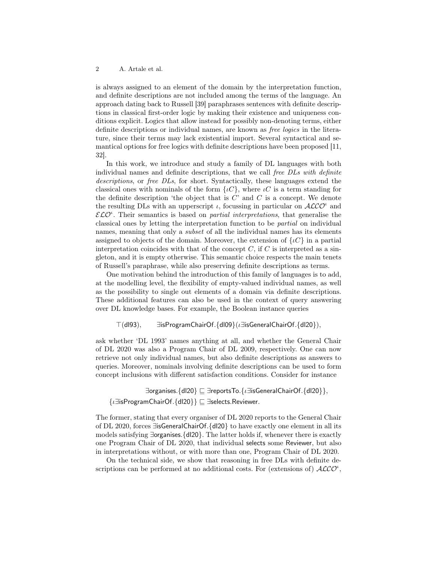is always assigned to an element of the domain by the interpretation function, and definite descriptions are not included among the terms of the language. An approach dating back to Russell [39] paraphrases sentences with definite descriptions in classical first-order logic by making their existence and uniqueness conditions explicit. Logics that allow instead for possibly non-denoting terms, either definite descriptions or individual names, are known as free logics in the literature, since their terms may lack existential import. Several syntactical and semantical options for free logics with definite descriptions have been proposed [11, 32].

In this work, we introduce and study a family of DL languages with both individual names and definite descriptions, that we call free DLs with definite descriptions, or free DLs, for short. Syntactically, these languages extend the classical ones with nominals of the form  $\{tC\}$ , where  $tC$  is a term standing for the definite description 'the object that is  $C'$  and  $C$  is a concept. We denote the resulting DLs with an upperscript  $\iota$ , focussing in particular on  $\mathcal{ALCO}^{\iota}$  and  $\mathcal{ELO}^{\iota}$ . Their semantics is based on *partial interpretations*, that generalise the classical ones by letting the interpretation function to be partial on individual names, meaning that only a *subset* of all the individual names has its elements assigned to objects of the domain. Moreover, the extension of  $\{tC\}$  in a partial interpretation coincides with that of the concept  $C$ , if  $C$  is interpreted as a singleton, and it is empty otherwise. This semantic choice respects the main tenets of Russell's paraphrase, while also preserving definite descriptions as terms.

One motivation behind the introduction of this family of languages is to add, at the modelling level, the flexibility of empty-valued individual names, as well as the possibility to single out elements of a domain via definite descriptions. These additional features can also be used in the context of query answering over DL knowledge bases. For example, the Boolean instance queries

>(dl93), ∃isProgramChairOf.{dl09}(ι∃isGeneralChairOf.{dl20}),

ask whether 'DL 1993' names anything at all, and whether the General Chair of DL 2020 was also a Program Chair of DL 2009, respectively. One can now retrieve not only individual names, but also definite descriptions as answers to queries. Moreover, nominals involving definite descriptions can be used to form concept inclusions with different satisfaction conditions. Consider for instance

∃organises.{dl20} v ∃reportsTo.{ι∃isGeneralChairOf.{dl20}},  $\{ \iota \exists$ isProgramChairOf. $\{$ dl20 $\}$  $\}$   $\sqsubseteq$   $\exists$ selects.Reviewer.

The former, stating that every organiser of DL 2020 reports to the General Chair of DL 2020, forces ∃isGeneralChairOf.{dl20} to have exactly one element in all its models satisfying ∃organises.{dl20}. The latter holds if, whenever there is exactly one Program Chair of DL 2020, that individual selects some Reviewer, but also in interpretations without, or with more than one, Program Chair of DL 2020.

On the technical side, we show that reasoning in free DLs with definite descriptions can be performed at no additional costs. For (extensions of)  $\mathcal{ALCO}^{\iota}$ ,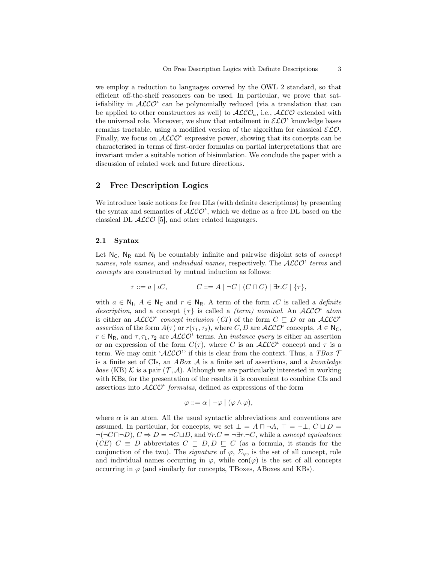we employ a reduction to languages covered by the OWL 2 standard, so that efficient off-the-shelf reasoners can be used. In particular, we prove that satisfiability in  $ALCO<sup>t</sup>$  can be polynomially reduced (via a translation that can be applied to other constructors as well) to  $ALCO<sub>u</sub>$ , i.e.,  $ALCO$  extended with the universal role. Moreover, we show that entailment in  $\mathcal{ELO}^{\iota}$  knowledge bases remains tractable, using a modified version of the algorithm for classical  $\mathcal{ELO}$ . Finally, we focus on  $\widehat{ALCO}^t$  expressive power, showing that its concepts can be characterised in terms of first-order formulas on partial interpretations that are invariant under a suitable notion of bisimulation. We conclude the paper with a discussion of related work and future directions.

# 2 Free Description Logics

We introduce basic notions for free DLs (with definite descriptions) by presenting the syntax and semantics of  $\mathcal{ALCO}^{\iota}$ , which we define as a free DL based on the classical DL  $ALCO$  [5], and other related languages.

#### 2.1 Syntax

Let  $N_C$ ,  $N_R$  and  $N_I$  be countably infinite and pairwise disjoint sets of *concept* names, role names, and individual names, respectively. The  $ALCO<sup>t</sup>$  terms and concepts are constructed by mutual induction as follows:

$$
\tau ::= a \mid \iota C, \qquad C ::= A \mid \neg C \mid (C \sqcap C) \mid \exists r.C \mid \{\tau\},
$$

with  $a \in \mathbb{N}_1$ ,  $A \in \mathbb{N}_\mathsf{C}$  and  $r \in \mathbb{N}_\mathsf{R}$ . A term of the form  $\iota C$  is called a *definite* description, and a concept  $\{\tau\}$  is called a *(term)* nominal. An  $ALCO<sup>t</sup>$  atom is either an  $ALCO<sup>t</sup>$  concept inclusion (CI) of the form  $C \subseteq D$  or an  $ALCO<sup>t</sup>$ assertion of the form  $A(\tau)$  or  $r(\tau_1, \tau_2)$ , where C, D are  $\mathcal{ALCO}^{\iota}$  concepts,  $A \in N_{\mathsf{C}}$ ,  $r \in N_R$ , and  $\tau$ ,  $\tau_1$ ,  $\tau_2$  are  $\mathcal{ALCO}^i$  terms. An *instance query* is either an assertion or an expression of the form  $C(\tau)$ , where C is an  $ALCO<sup>t</sup>$  concept and  $\tau$  is a term. We may omit ' $\mathcal{ALCO}^{\prime\prime}$  if this is clear from the context. Thus, a TBox 7 is a finite set of CIs, an *ABox A* is a finite set of assertions, and a knowledge base (KB)  $\mathcal K$  is a pair  $(\mathcal T, \mathcal A)$ . Although we are particularly interested in working with KBs, for the presentation of the results it is convenient to combine CIs and assertions into  $\mathcal{ALCO}^t$  formulas, defined as expressions of the form

$$
\varphi ::= \alpha \mid \neg \varphi \mid (\varphi \land \varphi),
$$

where  $\alpha$  is an atom. All the usual syntactic abbreviations and conventions are assumed. In particular, for concepts, we set  $\bot = A \sqcap \neg A$ ,  $\top = \neg \bot$ ,  $C \sqcup D = \bot$  $\neg(\neg C \sqcap \neg D)$ ,  $C \Rightarrow D = \neg C \sqcup D$ , and  $\forall r.C = \neg \exists r.\neg C$ , while a concept equivalence  $(CE)$   $C \equiv D$  abbreviates  $C \subseteq D, D \subseteq C$  (as a formula, it stands for the conjunction of the two). The *signature* of  $\varphi$ ,  $\Sigma_{\varphi}$ , is the set of all concept, role and individual names occurring in  $\varphi$ , while con( $\varphi$ ) is the set of all concepts occurring in  $\varphi$  (and similarly for concepts, TBoxes, ABoxes and KBs).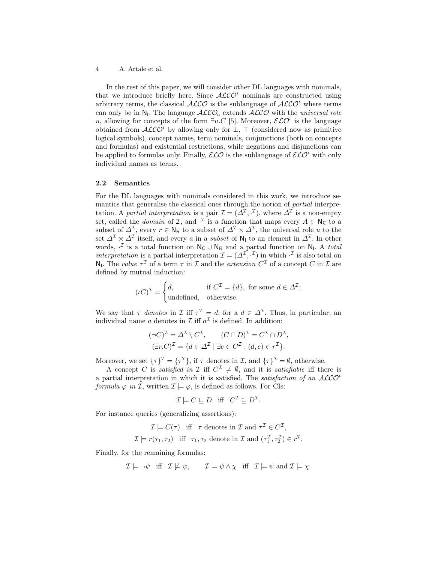In the rest of this paper, we will consider other DL languages with nominals, that we introduce briefly here. Since  $\mathcal{ALCO}^{\iota}$  nominals are constructed using arbitrary terms, the classical  $ALCO$  is the sublanguage of  $ALCO<sup>t</sup>$  where terms can only be in  $N_l$ . The language  $\text{ALCO}_u$  extends  $\text{ALCO}$  with the *universal role* u, allowing for concepts of the form  $\exists u.C$  [5]. Moreover,  $\mathcal{ELO}^{\iota}$  is the language obtained from  $\mathcal{ALCO}^t$  by allowing only for  $\bot$ ,  $\top$  (considered now as primitive logical symbols), concept names, term nominals, conjunctions (both on concepts and formulas) and existential restrictions, while negations and disjunctions can be applied to formulas only. Finally,  $\mathcal{ELO}$  is the sublanguage of  $\mathcal{ELO}^{\iota}$  with only individual names as terms.

## 2.2 Semantics

For the DL languages with nominals considered in this work, we introduce semantics that generalise the classical ones through the notion of *partial* interpretation. A partial interpretation is a pair  $\mathcal{I} = (\Delta^{\mathcal{I}}, \cdot^{\mathcal{I}})$ , where  $\Delta^{\mathcal{I}}$  is a non-empty set, called the *domain* of  $I$ , and  $\cdot$ <sup>T</sup> is a function that maps every  $A \in \mathsf{N}_\mathsf{C}$  to a subset of  $\Delta^{\mathcal{I}}$ , every  $r \in \mathsf{N}_{\mathsf{R}}$  to a subset of  $\Delta^{\mathcal{I}} \times \Delta^{\mathcal{I}}$ , the universal role u to the set  $\Delta^{\mathcal{I}} \times \Delta^{\mathcal{I}}$  itself, and every a in a *subset* of  $\mathsf{N}_{\mathsf{I}}$  to an element in  $\Delta^{\mathcal{I}}$ . In other words,  $\cdot^{\mathcal{I}}$  is a total function on  $N_{\mathsf{C}} \cup N_{\mathsf{R}}$  and a partial function on  $N_{\mathsf{I}}$ . A total interpretation is a partial interpretation  $\mathcal{I} = (\Delta^{\mathcal{I}}, \cdot^{\mathcal{I}})$  in which  $\cdot^{\mathcal{I}}$  is also total on N<sub>1</sub>. The value  $\tau^{\mathcal{I}}$  of a term  $\tau$  in  $\mathcal{I}$  and the *extension*  $C^{\mathcal{I}}$  of a concept  $C$  in  $\mathcal{I}$  are defined by mutual induction:

$$
(\iota C)^{\mathcal{I}} = \begin{cases} d, & \text{if } C^{\mathcal{I}} = \{d\}, \text{ for some } d \in \Delta^{\mathcal{I}}; \\ \text{undefined}, & \text{otherwise.} \end{cases}
$$

We say that  $\tau$  denotes in  $\mathcal I$  iff  $\tau^{\mathcal I} = d$ , for a  $d \in \Delta^{\mathcal I}$ . Thus, in particular, an individual name a denotes in  $\mathcal I$  iff  $a^{\mathcal I}$  is defined. In addition:

$$
(\neg C)^{\mathcal{I}} = \Delta^{\mathcal{I}} \setminus C^{\mathcal{I}}, \qquad (C \sqcap D)^{\mathcal{I}} = C^{\mathcal{I}} \cap D^{\mathcal{I}},
$$

$$
(\exists r.C)^{\mathcal{I}} = \{d \in \Delta^{\mathcal{I}} \mid \exists e \in C^{\mathcal{I}} : (d,e) \in r^{\mathcal{I}}\}.
$$

Moreover, we set  $\{\tau\}^{\mathcal{I}} = \{\tau^{\mathcal{I}}\},\$  if  $\tau$  denotes in  $\mathcal{I},\$ and  $\{\tau\}^{\mathcal{I}} = \emptyset$ , otherwise.

A concept C is satisfied in  $\mathcal I$  iff  $C^{\mathcal I} \neq \emptyset$ , and it is satisfiable iff there is a partial interpretation in which it is satisfied. The *satisfaction of an*  $ALCO<sup>t</sup>$ formula  $\varphi$  in *I*, written  $\mathcal{I} \models \varphi$ , is defined as follows. For CIs:

$$
\mathcal{I} \models C \sqsubseteq D \quad \text{iff} \quad C^{\mathcal{I}} \subseteq D^{\mathcal{I}}.
$$

For instance queries (generalizing assertions):

$$
\mathcal{I} \models C(\tau) \text{ iff } \tau \text{ denotes in } \mathcal{I} \text{ and } \tau^{\mathcal{I}} \in C^{\mathcal{I}},
$$
  

$$
\mathcal{I} \models r(\tau_1, \tau_2) \text{ iff } \tau_1, \tau_2 \text{ denote in } \mathcal{I} \text{ and } (\tau_1^{\mathcal{I}}, \tau_2^{\mathcal{I}}) \in r^{\mathcal{I}}.
$$

Finally, for the remaining formulas:

$$
\mathcal{I} \models \neg \psi \text{ iff } \mathcal{I} \not\models \psi, \qquad \mathcal{I} \models \psi \land \chi \text{ iff } \mathcal{I} \models \psi \text{ and } \mathcal{I} \models \chi.
$$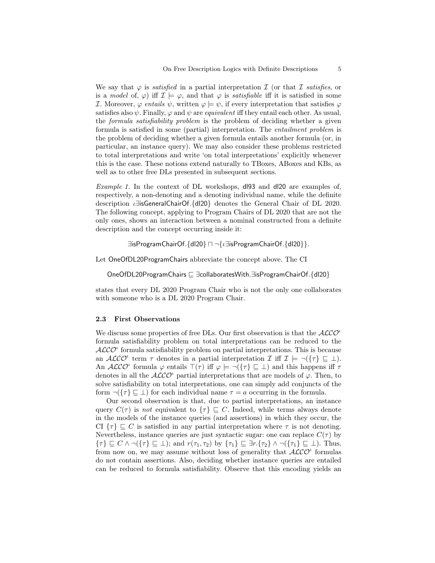We say that  $\varphi$  is *satisfied* in a partial interpretation I (or that I satisfies, or is a model of,  $\varphi$ ) iff  $\mathcal{I} \models \varphi$ , and that  $\varphi$  is *satisfiable* iff it is satisfied in some I. Moreover,  $\varphi$  entails  $\psi$ , written  $\varphi \models \psi$ , if every interpretation that satisfies  $\varphi$ satisfies also  $\psi$ . Finally,  $\varphi$  and  $\psi$  are *equivalent* iff they entail each other. As usual, the formula satisfiability problem is the problem of deciding whether a given formula is satisfied in some (partial) interpretation. The entailment problem is the problem of deciding whether a given formula entails another formula (or, in particular, an instance query). We may also consider these problems restricted to total interpretations and write 'on total interpretations' explicitly whenever this is the case. These notions extend naturally to TBoxes, ABoxes and KBs, as well as to other free DLs presented in subsequent sections.

Example 1. In the context of DL workshops, dl93 and dl20 are examples of, respectively, a non-denoting and a denoting individual name, while the definite description ι∃isGeneralChairOf.{dl20} denotes the General Chair of DL 2020. The following concept, applying to Program Chairs of DL 2020 that are not the only ones, shows an interaction between a nominal constructed from a definite description and the concept occurring inside it:

∃isProgramChairOf.{dl20} u ¬{ι∃isProgramChairOf.{dl20}}.

Let OneOfDL20ProgramChairs abbreviate the concept above. The CI

OneOfDL20ProgramChairs  $\Box$  ∃collaboratesWith.∃isProgramChairOf.{dl20}

states that every DL 2020 Program Chair who is not the only one collaborates with someone who is a DL 2020 Program Chair.

### 2.3 First Observations

We discuss some properties of free DLs. Our first observation is that the  $ALCO<sup>t</sup>$ formula satisfiability problem on total interpretations can be reduced to the  $ALCO<sup>t</sup>$  formula satisfiability problem on partial interpretations. This is because an  $\mathcal{ALCO}^{\iota}$  term  $\tau$  denotes in a partial interpretation  $\mathcal{I}$  iff  $\mathcal{I} \models \neg(\{\tau\} \sqsubseteq \bot)$ . An  $ALCO^{\iota}$  formula  $\varphi$  entails  $\top(\tau)$  iff  $\varphi \models \neg(\{\tau\} \sqsubseteq \bot)$  and this happens iff  $\tau$ denotes in all the  $\mathcal{ALCO}^{\iota}$  partial interpretations that are models of  $\varphi$ . Then, to solve satisfiability on total interpretations, one can simply add conjuncts of the form  $\neg(\lbrace \tau \rbrace \sqsubset \bot)$  for each individual name  $\tau = a$  occurring in the formula.

Our second observation is that, due to partial interpretations, an instance query  $C(\tau)$  is not equivalent to  $\{\tau\} \subseteq C$ . Indeed, while terms always denote in the models of the instance queries (and assertions) in which they occur, the CI  $\{\tau\} \subseteq C$  is satisfied in any partial interpretation where  $\tau$  is not denoting. Nevertheless, instance queries are just syntactic sugar: one can replace  $C(\tau)$  by  $\{\tau\} \sqsubseteq C \land \neg(\{\tau\} \sqsubseteq \bot)$ ; and  $r(\tau_1, \tau_2)$  by  $\{\tau_1\} \sqsubseteq \exists r.\{\tau_2\} \land \neg(\{\tau_1\} \sqsubseteq \bot)$ . Thus, from now on, we may assume without loss of generality that  $\widehat{ALCO}^t$  formulas do not contain assertions. Also, deciding whether instance queries are entailed can be reduced to formula satisfiability. Observe that this encoding yields an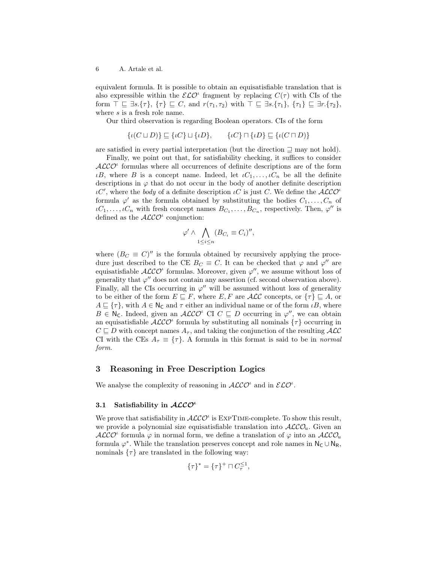equivalent formula. It is possible to obtain an equisatisfiable translation that is also expressible within the  $\mathcal{ELO}^{\iota}$  fragment by replacing  $C(\tau)$  with CIs of the form  $\top \sqsubseteq \exists s.\{\tau\}, \{\tau\} \sqsubseteq C$ , and  $r(\tau_1, \tau_2)$  with  $\top \sqsubseteq \exists s.\{\tau_1\}, \{\tau_1\} \sqsubseteq \exists r.\{\tau_2\},\$ where  $s$  is a fresh role name.

Our third observation is regarding Boolean operators. CIs of the form

$$
\{\iota(C \sqcup D)\} \sqsubseteq \{\iota C\} \sqcup \{\iota D\}, \qquad \{\iota C\} \sqcap \{\iota D\} \sqsubseteq \{\iota(C \sqcap D)\}\
$$

are satisfied in every partial interpretation (but the direction  $\supseteq$  may not hold).

Finally, we point out that, for satisfiability checking, it suffices to consider  $ALCO<sup>t</sup>$  formulas where all occurrences of definite descriptions are of the form  $\iota B$ , where B is a concept name. Indeed, let  $\iota C_1, \ldots, \iota C_n$  be all the definite descriptions in  $\varphi$  that do not occur in the body of another definite description ιC', where the body of a definite description ιC is just C. We define the  $\mathcal{ALCO}^{\iota}$ formula  $\varphi'$  as the formula obtained by substituting the bodies  $C_1, \ldots, C_n$  of  $\iota C_1, \ldots, \iota C_n$  with fresh concept names  $B_{C_1}, \ldots, B_{C_n}$ , respectively. Then,  $\varphi''$  is defined as the  $ALCO<sup>t</sup>$  conjunction:

$$
\varphi' \wedge \bigwedge_{1 \leq i \leq n} (B_{C_i} \equiv C_i)''
$$

where  $(B_C \equiv C)''$  is the formula obtained by recursively applying the procedure just described to the CE  $B_C \equiv C$ . It can be checked that  $\varphi$  and  $\varphi''$  are equisatisfiable  $\mathcal{ALCO}^{\iota}$  formulas. Moreover, given  $\varphi''$ , we assume without loss of generality that  $\varphi''$  does not contain any assertion (cf. second observation above). Finally, all the CIs occurring in  $\varphi''$  will be assumed without loss of generality to be either of the form  $E \subseteq F$ , where E, F are  $\mathcal{ALC}$  concepts, or  $\{\tau\} \subseteq A$ , or  $A \subseteq {\tau}$ , with  $A \in N_{\mathbb{C}}$  and  $\tau$  either an individual name or of the form  $\iota B$ , where  $B \in \mathbb{N}_{\mathsf{C}}$ . Indeed, given an  $\mathcal{ALCO}^{\iota}$  CI  $C \subseteq D$  occurring in  $\varphi''$ , we can obtain an equisatisfiable  $\widehat{ALCO}^t$  formula by substituting all nominals  $\{\tau\}$  occurring in  $C \sqsubseteq D$  with concept names  $A_{\tau}$ , and taking the conjunction of the resulting  $\mathcal{ALC}$ CI with the CEs  $A_{\tau} \equiv {\tau}$ . A formula in this format is said to be in normal form.

## 3 Reasoning in Free Description Logics

We analyse the complexity of reasoning in  $\mathcal{ALCO}^{\iota}$  and in  $\mathcal{ELO}^{\iota}$ .

#### 3.1 Satisfiability in  $ALCO<sup>t</sup>$

We prove that satisfiability in  $\mathcal{ALCO}^t$  is EXPTIME-complete. To show this result, we provide a polynomial size equisatisfiable translation into  $\mathcal{ALCO}_{u}$ . Given an  $\mathcal{ALCO}^{\iota}$  formula  $\varphi$  in normal form, we define a translation of  $\varphi$  into an  $\mathcal{ALCO}_{u}$ formula  $\varphi^*$ . While the translation preserves concept and role names in  $N_C \cup N_R$ , nominals  $\{\tau\}$  are translated in the following way:

$$
\{\tau\}^* = \{\tau\}^+ \sqcap C_{\tau}^{\leq 1},
$$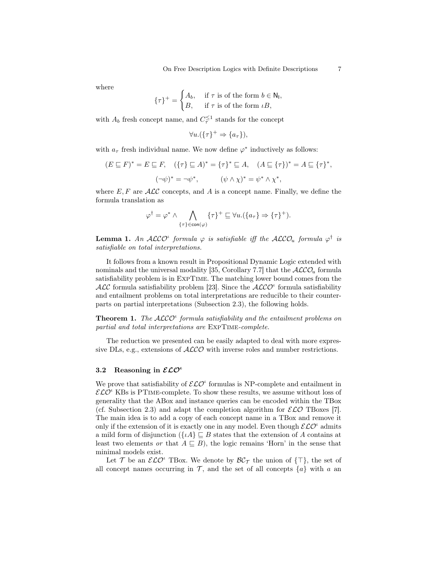where

$$
\{\tau\}^+ = \begin{cases} A_b, & \text{if } \tau \text{ is of the form } b \in \mathsf{N}_1, \\ B, & \text{if } \tau \text{ is of the form } \iota B, \end{cases}
$$

with  $A_b$  fresh concept name, and  $C_{\tau}^{\leq 1}$  stands for the concept

$$
\forall u. (\{\tau\}^+ \Rightarrow \{a_\tau\}),
$$

with  $a_{\tau}$  fresh individual name. We now define  $\varphi^*$  inductively as follows:

$$
(E \sqsubseteq F)^* = E \sqsubseteq F, \quad (\{\tau\} \sqsubseteq A)^* = \{\tau\}^* \sqsubseteq A, \quad (A \sqsubseteq \{\tau\})^* = A \sqsubseteq \{\tau\}^*,
$$

$$
(\neg \psi)^* = \neg \psi^*, \qquad (\psi \wedge \chi)^* = \psi^* \wedge \chi^*,
$$

where  $E, F$  are  $\mathcal{ALC}$  concepts, and A is a concept name. Finally, we define the formula translation as

$$
\varphi^{\dagger} = \varphi^* \wedge \bigwedge_{\{\tau\} \in \mathsf{con}(\varphi)} \{\tau\}^+ \sqsubseteq \forall u. (\{a_{\tau}\} \Rightarrow \{\tau\}^+).
$$

**Lemma 1.** An  $ALCO^{\iota}$  formula  $\varphi$  is satisfiable iff the  $ALCO_u$  formula  $\varphi^{\dagger}$  is satisfiable on total interpretations.

It follows from a known result in Propositional Dynamic Logic extended with nominals and the universal modality [35, Corollary 7.7] that the  $ALCO<sub>u</sub>$  formula satisfiability problem is in ExpTime. The matching lower bound comes from the  $\cal{ALC}$  formula satisfiability problem [23]. Since the  $\cal{ALCO}^{\iota}$  formula satisfiability and entailment problems on total interpretations are reducible to their counterparts on partial interpretations (Subsection 2.3), the following holds.

**Theorem 1.** The  $ALCO<sup>t</sup>$  formula satisfiability and the entailment problems on partial and total interpretations are ExpTime-complete.

The reduction we presented can be easily adapted to deal with more expressive DLs, e.g., extensions of  $ALCO$  with inverse roles and number restrictions.

## 3.2 Reasoning in  $\mathcal{ELO}^{\iota}$

We prove that satisfiability of  $\mathcal{ELO}^{\iota}$  formulas is NP-complete and entailment in  $\mathcal{ELO}^{\iota}$  KBs is PTIME-complete. To show these results, we assume without loss of generality that the ABox and instance queries can be encoded within the TBox (cf. Subsection 2.3) and adapt the completion algorithm for  $\mathcal{ELO}$  TBoxes [7]. The main idea is to add a copy of each concept name in a TBox and remove it only if the extension of it is exactly one in any model. Even though  $\mathcal{ELO}^{\iota}$  admits a mild form of disjunction  $({\lbrace\iota A\rbrace}\sqsubset B$  states that the extension of A contains at least two elements or that  $A \subseteq B$ ), the logic remains 'Horn' in the sense that minimal models exist.

Let T be an  $\mathcal{ELO}^{\iota}$  TBox. We denote by  $\mathcal{BC}_{\mathcal{T}}$  the union of  $\{\top\},$  the set of all concept names occurring in  $\mathcal{T}$ , and the set of all concepts  $\{a\}$  with a an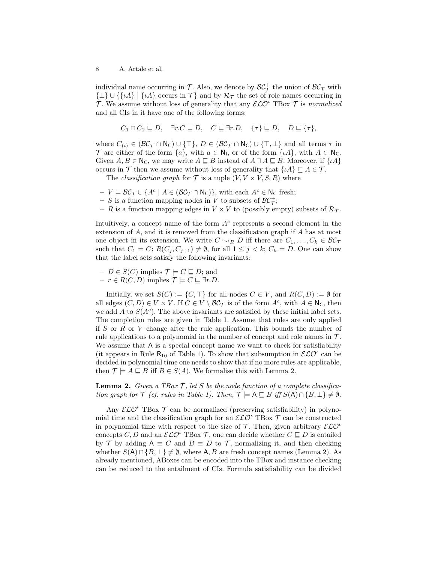individual name occurring in  $\mathcal{T}$ . Also, we denote by  $\mathcal{BC}_{\mathcal{T}}^+$  the union of  $\mathcal{BC}_{\mathcal{T}}$  with  $\{\perp\} \cup \{\{\iota A\} \mid \{\iota A\} \text{ occurs in } \mathcal{T}\}\$ and by  $\mathcal{R}_{\mathcal{T}}$  the set of role names occurring in T. We assume without loss of generality that any  $\mathcal{ELO}^{\iota}$  TBox T is normalized and all CIs in it have one of the following forms:

$$
C_1 \sqcap C_2 \sqsubseteq D, \quad \exists r.C \sqsubseteq D, \quad C \sqsubseteq \exists r.D, \quad \{\tau\} \sqsubseteq D, \quad D \sqsubseteq \{\tau\},
$$

where  $C_{(i)} \in (\mathcal{BC}_{\mathcal{T}} \cap \mathsf{N}_{\mathsf{C}}) \cup \{\top\}, D \in (\mathcal{BC}_{\mathcal{T}} \cap \mathsf{N}_{\mathsf{C}}) \cup \{\top, \bot\}$  and all terms  $\tau$  in T are either of the form  $\{a\}$ , with  $a \in \mathbb{N}_1$ , or of the form  $\{\iota A\}$ , with  $A \in \mathbb{N}_C$ . Given  $A, B \in \mathsf{N}_\mathsf{C}$ , we may write  $A \sqsubseteq B$  instead of  $A \sqcap A \sqsubseteq B$ . Moreover, if  $\{iA\}$ occurs in T then we assume without loss of generality that  $\{\iota A\} \sqsubseteq A \in \mathcal{T}$ .

The *classification graph* for  $\mathcal T$  is a tuple  $(V, V \times V, S, R)$  where

- $-V = \mathcal{BC}_{\mathcal{T}} \cup \{A^c \mid A \in (\mathcal{BC}_{\mathcal{T}} \cap \mathsf{N}_{\mathsf{C}})\},\$  with each  $A^c \in \mathsf{N}_{\mathsf{C}}$  fresh;
- S is a function mapping nodes in V to subsets of  $\mathcal{BC}_{\mathcal{I}}^+$ ;
- R is a function mapping edges in  $V \times V$  to (possibly empty) subsets of  $\mathcal{R}_{\mathcal{T}}$ .

Intuitively, a concept name of the form  $A<sup>c</sup>$  represents a second element in the extension of A, and it is removed from the classification graph if A has at most one object in its extension. We write  $C \sim_R D$  iff there are  $C_1, \ldots, C_k \in \mathcal{BC}_{\mathcal{T}}$ such that  $C_1 = C$ ;  $R(C_i, C_{i+1}) \neq \emptyset$ , for all  $1 \leq j \leq k$ ;  $C_k = D$ . One can show that the label sets satisfy the following invariants:

- $-D \in S(C)$  implies  $\mathcal{T} \models C \sqsubseteq D$ ; and
- $r \in R(C, D)$  implies  $\mathcal{T} \models C \sqsubseteq \exists r.D.$

Initially, we set  $S(C) := \{C, \top\}$  for all nodes  $C \in V$ , and  $R(C, D) := \emptyset$  for all edges  $(C, D) \in V \times V$ . If  $C \in V \setminus \mathcal{BC}_{\mathcal{T}}$  is of the form  $A^c$ , with  $A \in \mathbb{N}_{\mathsf{C}}$ , then we add  $A$  to  $S(A<sup>c</sup>)$ . The above invariants are satisfied by these initial label sets. The completion rules are given in Table 1. Assume that rules are only applied if  $S$  or  $R$  or  $V$  change after the rule application. This bounds the number of rule applications to a polynomial in the number of concept and role names in  $\mathcal{T}$ . We assume that A is a special concept name we want to check for satisfiability (it appears in Rule R<sub>10</sub> of Table 1). To show that subsumption in  $\mathcal{ELO}^{\iota}$  can be decided in polynomial time one needs to show that if no more rules are applicable, then  $\mathcal{T} \models A \sqsubseteq B$  iff  $B \in S(A)$ . We formalise this with Lemma 2.

**Lemma 2.** Given a TBox  $T$ , let S be the node function of a complete classification graph for  $\mathcal T$  (cf. rules in Table 1). Then,  $\mathcal T \models A \sqsubseteq B$  iff  $S(A) \cap \{B, \perp\} \neq \emptyset$ .

Any  $\mathcal{ELO}^{\iota}$  TBox  $\mathcal T$  can be normalized (preserving satisfiability) in polynomial time and the classification graph for an  $\mathcal{ELO}^{\iota}$  TBox  $\mathcal T$  can be constructed in polynomial time with respect to the size of  $\mathcal{T}$ . Then, given arbitrary  $\mathcal{ELO}^{\iota}$ concepts C, D and an  $\mathcal{ELO}^{\iota}$  TBox T, one can decide whether  $C \sqsubseteq D$  is entailed by T by adding  $A \equiv C$  and  $B \equiv D$  to T, normalizing it, and then checking whether  $S(A) \cap {B, \perp} \neq \emptyset$ , where A, B are fresh concept names (Lemma 2). As already mentioned, ABoxes can be encoded into the TBox and instance checking can be reduced to the entailment of CIs. Formula satisfiability can be divided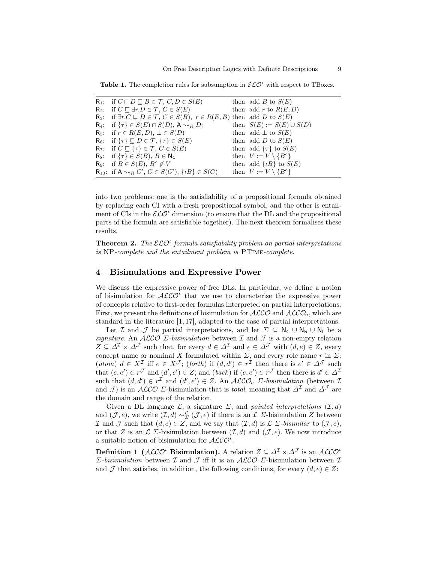**Table 1.** The completion rules for subsumption in  $\mathcal{ELO}^{\prime}$  with respect to TBoxes.

| $R_1$ : if $C \sqcap D \sqsubseteq B \in \mathcal{T}$ , $C, D \in S(E)$                                         | then add B to $S(E)$            |
|-----------------------------------------------------------------------------------------------------------------|---------------------------------|
| $R_2$ : if $C \sqsubseteq \exists r.D \in \mathcal{T}, C \in S(E)$                                              | then add r to $R(E, D)$         |
| R <sub>3</sub> : if $\exists r.C \sqsubseteq D \in \mathcal{T}, C \in S(B), r \in R(E, B)$ then add D to $S(E)$ |                                 |
| $R_4$ : if $\{\tau\} \in S(E) \cap S(D)$ , $A \sim_R D$ ;                                                       | then $S(E) := S(E) \cup S(D)$   |
| $R_5$ : if $r \in R(E, D)$ , $\perp \in S(D)$                                                                   | then add $\perp$ to $S(E)$      |
| $R_6$ : if $\{\tau\} \sqsubseteq D \in \mathcal{T}, \{\tau\} \in S(E)$                                          | then add D to $S(E)$            |
| $R_7$ : if $C \sqsubseteq \{\tau\} \in \mathcal{T}, C \in S(E)$                                                 | then add $\{\tau\}$ to $S(E)$   |
| $R_8$ : if $\{\tau\} \in S(B)$ , $B \in N_C$                                                                    | then $V := V \setminus \{B^c\}$ |
| $R_9$ : if $B \in S(E)$ , $B^c \notin V$                                                                        | then add $\{tB\}$ to $S(E)$     |
| R <sub>10</sub> : if $A \sim_R C'$ , $C \in S(C')$ , $\{ \iota B \} \in S(C)$                                   | then $V := V \setminus \{B^c\}$ |

into two problems: one is the satisfiability of a propositional formula obtained by replacing each CI with a fresh propositional symbol, and the other is entailment of CIs in the  $\mathcal{ELO}^{\iota}$  dimension (to ensure that the DL and the propositional parts of the formula are satisfiable together). The next theorem formalises these results.

**Theorem 2.** The  $\mathcal{ELO}^{\iota}$  formula satisfiability problem on partial interpretations is NP-complete and the entailment problem is PTime-complete.

## 4 Bisimulations and Expressive Power

We discuss the expressive power of free DLs. In particular, we define a notion of bisimulation for  $\mathcal{ALCO}^i$  that we use to characterise the expressive power of concepts relative to first-order formulas interpreted on partial interpretations. First, we present the definitions of bisimulation for  $ALCO$  and  $ALCO<sub>u</sub>$ , which are standard in the literature [1, 17], adapted to the case of partial interpretations.

Let I and J be partial interpretations, and let  $\Sigma \subseteq N_C \cup N_R \cup N_I$  be a signature. An ALCO  $\Sigma$ -bisimulation between  $\mathcal I$  and  $\mathcal J$  is a non-empty relation  $Z \subseteq \Delta^{\mathcal{I}} \times \Delta^{\mathcal{J}}$  such that, for every  $d \in \Delta^{\mathcal{I}}$  and  $e \in \Delta^{\mathcal{J}}$  with  $(d, e) \in Z$ , every concept name or nominal X formulated within  $\Sigma$ , and every role name r in  $\Sigma$ :  $(atom) d \in X^{\mathcal{I}}$  iff  $e \in X^{\mathcal{J}}$ ;  $(forth)$  if  $(d,d') \in r^{\mathcal{I}}$  then there is  $e' \in \Delta^{\mathcal{J}}$  such that  $(e, e') \in r^{\mathcal{J}}$  and  $(d', e') \in Z$ ; and  $(back)$  if  $(e, e') \in r^{\mathcal{J}}$  then there is  $d' \in \Delta^{\mathcal{I}}$ such that  $(d, d') \in r^{\mathcal{I}}$  and  $(d', e') \in Z$ . An  $\mathcal{ALCO}_u$   $\Sigma$ -bisimulation (between  $\mathcal{I}$ and J) is an ALCO ∑-bisimulation that is *total*, meaning that  $\Delta^{\mathcal{I}}$  and  $\Delta^{\mathcal{J}}$  are the domain and range of the relation.

Given a DL language  $\mathcal{L}$ , a signature  $\Sigma$ , and pointed interpretations  $(\mathcal{I}, d)$ and  $(\mathcal{J}, e)$ , we write  $(\mathcal{I}, d) \sim_{\Sigma}^{\mathcal{L}} (\mathcal{J}, e)$  if there is an  $\mathcal{L}$  Σ-bisimulation Z between I and J such that  $(d, e) \in Z$ , and we say that  $(\mathcal{I}, d)$  is  $\mathcal{L}$   $\Sigma$ -bisimilar to  $(\mathcal{J}, e)$ , or that Z is an  $\mathcal L$   $\Sigma$ -bisimulation between  $(\mathcal I, d)$  and  $(\mathcal J, e)$ . We now introduce a suitable notion of bisimulation for  $ALCO^i$ .

**Definition 1** ( $\mathcal{ALCO}^t$  **Bisimulation**). A relation  $Z \subseteq \mathcal{A}^{\mathcal{I}} \times \mathcal{A}^{\mathcal{J}}$  is an  $\mathcal{ALCO}^t$ Σ-bisimulation between  $I$  and  $J$  iff it is an ALCO Σ-bisimulation between  $I$ and J that satisfies, in addition, the following conditions, for every  $(d, e) \in \mathbb{Z}$ :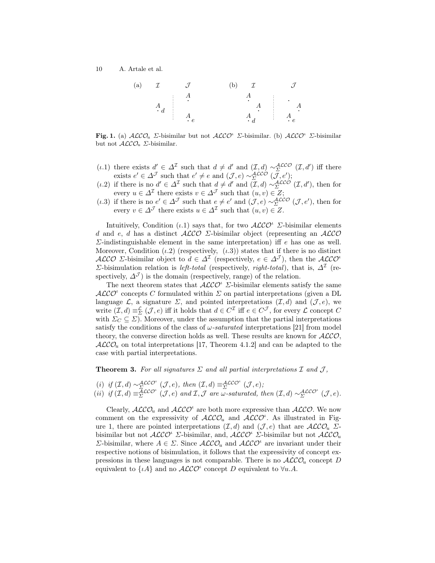

Fig. 1. (a)  $ALCO_u$  Σ-bisimilar but not  $ALCO<sup>u</sup>$  Σ-bisimilar. (b)  $ALCO<sup>u</sup>$  Σ-bisimilar but not  $\mathcal{ALCO}_{u}$   $\Sigma$ -bisimilar.

- (*ι*.1) there exists  $d' \in \Delta^{\mathcal{I}}$  such that  $d \neq d'$  and  $(\mathcal{I}, d) \sim_{\Sigma}^{\mathcal{ALCO}} (\mathcal{I}, d')$  iff there exists  $e' \in \Delta^{\mathcal{J}}$  such that  $e' \neq e$  and  $(\mathcal{J}, e) \sim_{\Sigma}^{\mathcal{ALCO}} (\mathcal{J}, e');$
- (*ι.*2) if there is no  $d' \in \Delta^{\mathcal{I}}$  such that  $d \neq d'$  and  $(\mathcal{I}, d) \sim_{\Sigma}^{\mathcal{ALCO}} (\mathcal{I}, d')$ , then for every  $u \in \Delta^{\mathcal{I}}$  there exists  $v \in \Delta^{\mathcal{J}}$  such that  $(u, v) \in \mathbb{Z}$ ;
- (*ι*.3) if there is no  $e' \in \Delta^{\mathcal{J}}$  such that  $e \neq e'$  and  $(\mathcal{J}, e) \sim_{\Sigma}^{\mathcal{ALCO}} (\mathcal{J}, e')$ , then for every  $v \in \Delta^{\mathcal{J}}$  there exists  $u \in \Delta^{\mathcal{I}}$  such that  $(u, v) \in Z$ .

Intuitively, Condition (*ι.*1) says that, for two  $\mathcal{ALCO}^{\iota}$  Σ-bisimilar elements d and e, d has a distinct  $ALCO$  *Σ*-bisimilar object (representing an  $ALCO$  $\Sigma$ -indistinguishable element in the same interpretation) iff e has one as well. Moreover, Condition  $(\iota.2)$  (respectively,  $(\iota.3)$ ) states that if there is no distinct ALCO *Σ*-bisimilar object to  $d \in \Delta^{\mathcal{I}}$  (respectively,  $e \in \Delta^{\mathcal{J}}$ ), then the ALCO<sup>i</sup> Σ-bisimulation relation is *left-total* (respectively, *right-total*), that is,  $\Delta^{\mathcal{I}}$  (respectively,  $\Delta^{J}$ ) is the domain (respectively, range) of the relation.

The next theorem states that  $\cal{ALCO}^{\iota}$   $\Sigma$ -bisimilar elements satisfy the same  $\mathcal{ALCO}^{\iota}$  concepts C formulated within  $\Sigma$  on partial interpretations (given a DL language  $\mathcal{L}$ , a signature  $\Sigma$ , and pointed interpretations  $(\mathcal{I}, d)$  and  $(\mathcal{J}, e)$ , we write  $(\mathcal{I}, d) \equiv_{\Sigma}^{\mathcal{L}} (\mathcal{J}, e)$  iff it holds that  $d \in C^{\mathcal{I}}$  iff  $e \in C^{\mathcal{J}}$ , for every  $\mathcal{L}$  concept  $C$ with  $\Sigma_C \subseteq \Sigma$ ). Moreover, under the assumption that the partial interpretations satisfy the conditions of the class of  $\omega$ -saturated interpretations [21] from model theory, the converse direction holds as well. These results are known for  $ALCO$ ,  $ALCO<sub>u</sub>$  on total interpretations [17, Theorem 4.1.2] and can be adapted to the case with partial interpretations.

**Theorem 3.** For all signatures  $\Sigma$  and all partial interpretations  $\mathcal I$  and  $\mathcal J$ ,

(i) if  $(\mathcal{I}, d) \sim_{\Sigma}^{\mathcal{ALCO}^{\iota}} (\mathcal{J}, e)$ , then  $(\mathcal{I}, d) \equiv_{\Sigma}^{\mathcal{ALCO}^{\iota}} (\mathcal{J}, e)$ ; (ii) if  $(\mathcal{I},d) \equiv_{\Sigma}^{\mathcal{ALCO}^{c}} (\mathcal{J},e)$  and  $\mathcal{I},\mathcal{J}$  are  $\omega$ -saturated, then  $(\mathcal{I},d) \sim_{\Sigma}^{\mathcal{ALCO}^{c}} (\mathcal{J},e)$ .

Clearly,  $\mathcal{ALCO}_{u}$  and  $\mathcal{ALCO}^{t}$  are both more expressive than  $\mathcal{ALCO}$ . We now comment on the expressivity of  $\text{ALCO}_u$  and  $\text{ALCO}^i$ . As illustrated in Figure 1, there are pointed interpretations  $(\mathcal{I}, d)$  and  $(\mathcal{J}, e)$  that are  $\mathcal{ALCO}_{u}$   $\Sigma$ bisimilar but not  $\mathcal{ALCO}^{\iota}$   $\Sigma$ -bisimilar, and,  $\mathcal{ALCO}^{\iota}$   $\Sigma$ -bisimilar but not  $\mathcal{ALCO}_{\iota}$ Σ-bisimilar, where  $A \in \Sigma$ . Since  $\mathcal{ALCO}_{u}$  and  $\mathcal{ALCO}^{u}$  are invariant under their respective notions of bisimulation, it follows that the expressivity of concept expressions in these languages is not comparable. There is no  $\mathcal{ALCO}_u$  concept D equivalent to  $\{iA\}$  and no  $\mathcal{ALCO}^i$  concept D equivalent to  $\forall u.A$ .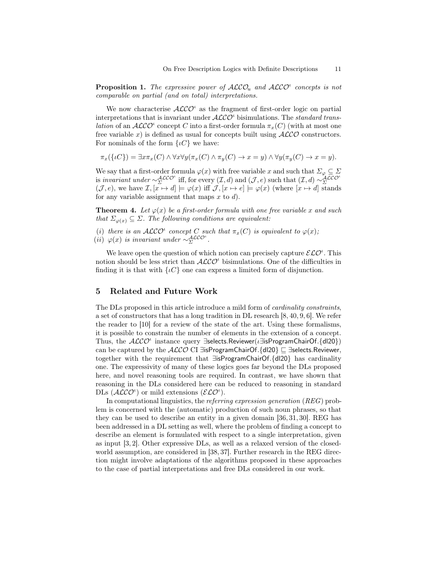**Proposition 1.** The expressive power of  $\text{ALCO}_u$  and  $\text{ALCO}^u$  concepts is not comparable on partial (and on total) interpretations.

We now characterise  $\mathcal{ALCO}^t$  as the fragment of first-order logic on partial interpretations that is invariant under  $\mathcal{ALCO}^t$  bisimulations. The standard trans*lation* of an  $\mathcal{ALCO}^{\iota}$  concept C into a first-order formula  $\pi_x(C)$  (with at most one free variable x) is defined as usual for concepts built using  $ALCO$  constructors. For nominals of the form  $\{tC\}$  we have:

$$
\pi_x(\{\iota C\}) = \exists x \pi_x(C) \land \forall x \forall y (\pi_x(C) \land \pi_y(C) \to x = y) \land \forall y (\pi_y(C) \to x = y).
$$

We say that a first-order formula  $\varphi(x)$  with free variable x and such that  $\Sigma_{\varphi} \subseteq \Sigma$ is invariant under  $\sim_{\Sigma}^{\mathcal{ALCO}^{\iota}}$  iff, for every  $(\mathcal{I}, d)$  and  $(\mathcal{J}, e)$  such that  $(\mathcal{I}, d) \sim_{\Sigma}^{\mathcal{ALCO}^{\iota}}$  $(\mathcal{J}, e)$ , we have  $\mathcal{I}, [\overline{x} \mapsto d] \models \varphi(x)$  iff  $\mathcal{J}, [x \mapsto e] \models \varphi(x)$  (where  $[x \mapsto d]$  stands for any variable assignment that maps  $x$  to  $d$ ).

**Theorem 4.** Let  $\varphi(x)$  be a first-order formula with one free variable x and such that  $\Sigma_{\varphi(x)} \subseteq \Sigma$ . The following conditions are equivalent:

(i) there is an  $\mathcal{ALCO}^{\iota}$  concept C such that  $\pi_x(C)$  is equivalent to  $\varphi(x)$ ;  $(ii)$   $\varphi(x)$  is invariant under ~ $\mathcal{A}^{\mathcal{LCO}^{\iota}}$ .

We leave open the question of which notion can precisely capture  $\mathcal{ELO}^{\iota}$ . This notion should be less strict than  $ALCO<sup>t</sup>$  bisimulations. One of the difficulties in finding it is that with  $\{tC\}$  one can express a limited form of disjunction.

# 5 Related and Future Work

The DLs proposed in this article introduce a mild form of cardinality constraints, a set of constructors that has a long tradition in DL research [8, 40, 9, 6]. We refer the reader to [10] for a review of the state of the art. Using these formalisms, it is possible to constrain the number of elements in the extension of a concept. Thus, the  $ALCO^t$  instance query ∃selects.Reviewer( $\iota$ ∃isProgramChairOf.{dl20}) can be captured by the  $ALCO$  CI ∃isProgramChairOf.{dl20}  $\sqsubseteq$  ∃selects.Reviewer, together with the requirement that ∃isProgramChairOf.{dl20} has cardinality one. The expressivity of many of these logics goes far beyond the DLs proposed here, and novel reasoning tools are required. In contrast, we have shown that reasoning in the DLs considered here can be reduced to reasoning in standard DLs  $(\mathcal{ALCO}^{\iota})$  or mild extensions  $(\mathcal{ELO}^{\iota})$ .

In computational linguistics, the referring expression generation (REG) problem is concerned with the (automatic) production of such noun phrases, so that they can be used to describe an entity in a given domain [36, 31, 30]. REG has been addressed in a DL setting as well, where the problem of finding a concept to describe an element is formulated with respect to a single interpretation, given as input [3, 2]. Other expressive DLs, as well as a relaxed version of the closedworld assumption, are considered in [38, 37]. Further research in the REG direction might involve adaptations of the algorithms proposed in these approaches to the case of partial interpretations and free DLs considered in our work.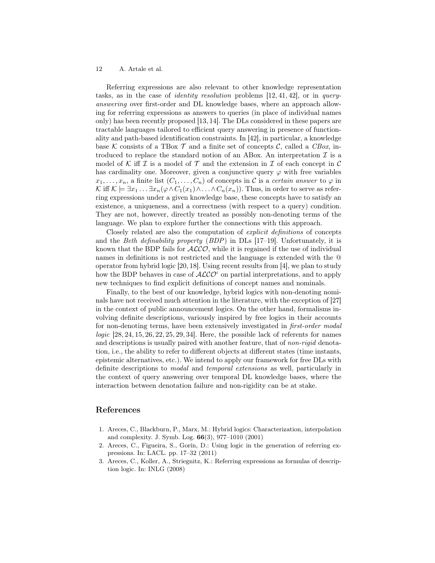Referring expressions are also relevant to other knowledge representation tasks, as in the case of identity resolution problems [12, 41, 42], or in queryanswering over first-order and DL knowledge bases, where an approach allowing for referring expressions as answers to queries (in place of individual names only) has been recently proposed [13, 14]. The DLs considered in these papers are tractable languages tailored to efficient query answering in presence of functionality and path-based identification constraints. In [42], in particular, a knowledge base K consists of a TBox  $\mathcal T$  and a finite set of concepts C, called a CBox, introduced to replace the standard notion of an ABox. An interpretation  $\mathcal I$  is a model of K iff I is a model of T and the extension in I of each concept in C has cardinality one. Moreover, given a conjunctive query  $\varphi$  with free variables  $x_1, \ldots, x_n$ , a finite list  $(C_1, \ldots, C_n)$  of concepts in C is a certain answer to  $\varphi$  in K iff  $\mathcal{K} \models \exists x_1 \ldots \exists x_n (\varphi \wedge C_1(x_1) \wedge \ldots \wedge C_n(x_n))$ . Thus, in order to serve as referring expressions under a given knowledge base, these concepts have to satisfy an existence, a uniqueness, and a correctness (with respect to a query) condition. They are not, however, directly treated as possibly non-denoting terms of the language. We plan to explore further the connections with this approach.

Closely related are also the computation of explicit definitions of concepts and the *Beth definability property (BDP)* in DLs [17–19]. Unfortunately, it is known that the BDP fails for  $ALCO$ , while it is regained if the use of individual names in definitions is not restricted and the language is extended with the @ operator from hybrid logic [20, 18]. Using recent results from [4], we plan to study how the BDP behaves in case of  $\widehat{ALCO}^i$  on partial interpretations, and to apply new techniques to find explicit definitions of concept names and nominals.

Finally, to the best of our knowledge, hybrid logics with non-denoting nominals have not received much attention in the literature, with the exception of [27] in the context of public announcement logics. On the other hand, formalisms involving definite descriptions, variously inspired by free logics in their accounts for non-denoting terms, have been extensively investigated in first-order modal  $logic [28, 24, 15, 26, 22, 25, 29, 34]$ . Here, the possible lack of referents for names and descriptions is usually paired with another feature, that of *non-rigid* denotation, i.e., the ability to refer to different objects at different states (time instants, epistemic alternatives, etc.). We intend to apply our framework for free DLs with definite descriptions to modal and temporal extensions as well, particularly in the context of query answering over temporal DL knowledge bases, where the interaction between denotation failure and non-rigidity can be at stake.

# References

- 1. Areces, C., Blackburn, P., Marx, M.: Hybrid logics: Characterization, interpolation and complexity. J. Symb. Log. 66(3), 977–1010 (2001)
- 2. Areces, C., Figueira, S., Gorín, D.: Using logic in the generation of referring expressions. In: LACL. pp. 17–32 (2011)
- 3. Areces, C., Koller, A., Striegnitz, K.: Referring expressions as formulas of description logic. In: INLG (2008)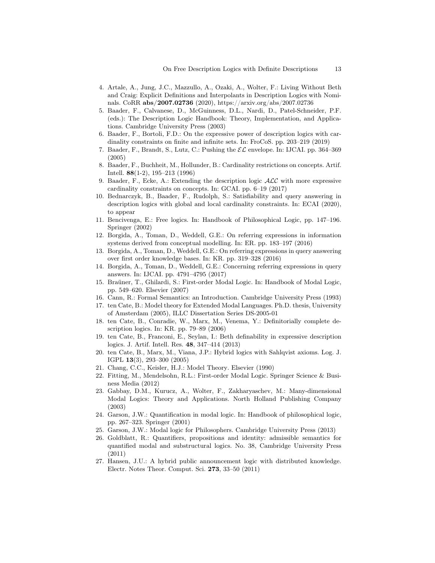- 4. Artale, A., Jung, J.C., Mazzullo, A., Ozaki, A., Wolter, F.: Living Without Beth and Craig: Explicit Definitions and Interpolants in Description Logics with Nominals. CoRR abs/2007.02736 (2020), https://arxiv.org/abs/2007.02736
- 5. Baader, F., Calvanese, D., McGuinness, D.L., Nardi, D., Patel-Schneider, P.F. (eds.): The Description Logic Handbook: Theory, Implementation, and Applications. Cambridge University Press (2003)
- 6. Baader, F., Bortoli, F.D.: On the expressive power of description logics with cardinality constraints on finite and infinite sets. In: FroCoS. pp. 203–219 (2019)
- 7. Baader, F., Brandt, S., Lutz, C.: Pushing the  $\mathcal{EL}$  envelope. In: IJCAI. pp. 364–369 (2005)
- 8. Baader, F., Buchheit, M., Hollunder, B.: Cardinality restrictions on concepts. Artif. Intell. 88(1-2), 195–213 (1996)
- 9. Baader, F., Ecke, A.: Extending the description logic  $\mathcal{ALC}$  with more expressive cardinality constraints on concepts. In: GCAI. pp. 6–19 (2017)
- 10. Bednarczyk, B., Baader, F., Rudolph, S.: Satisfiability and query answering in description logics with global and local cardinality constraints. In: ECAI (2020), to appear
- 11. Bencivenga, E.: Free logics. In: Handbook of Philosophical Logic, pp. 147–196. Springer (2002)
- 12. Borgida, A., Toman, D., Weddell, G.E.: On referring expressions in information systems derived from conceptual modelling. In: ER. pp. 183–197 (2016)
- 13. Borgida, A., Toman, D., Weddell, G.E.: On referring expressions in query answering over first order knowledge bases. In: KR. pp. 319–328 (2016)
- 14. Borgida, A., Toman, D., Weddell, G.E.: Concerning referring expressions in query answers. In: IJCAI. pp. 4791–4795 (2017)
- 15. Braüner, T., Ghilardi, S.: First-order Modal Logic. In: Handbook of Modal Logic, pp. 549–620. Elsevier (2007)
- 16. Cann, R.: Formal Semantics: an Introduction. Cambridge University Press (1993)
- 17. ten Cate, B.: Model theory for Extended Modal Languages. Ph.D. thesis, University of Amsterdam (2005), ILLC Dissertation Series DS-2005-01
- 18. ten Cate, B., Conradie, W., Marx, M., Venema, Y.: Definitorially complete description logics. In: KR. pp. 79–89 (2006)
- 19. ten Cate, B., Franconi, E., Seylan, I.: Beth definability in expressive description logics. J. Artif. Intell. Res. 48, 347–414 (2013)
- 20. ten Cate, B., Marx, M., Viana, J.P.: Hybrid logics with Sahlqvist axioms. Log. J. IGPL 13(3), 293–300 (2005)
- 21. Chang, C.C., Keisler, H.J.: Model Theory. Elsevier (1990)
- 22. Fitting, M., Mendelsohn, R.L.: First-order Modal Logic. Springer Science & Business Media (2012)
- 23. Gabbay, D.M., Kurucz, A., Wolter, F., Zakharyaschev, M.: Many-dimensional Modal Logics: Theory and Applications. North Holland Publishing Company (2003)
- 24. Garson, J.W.: Quantification in modal logic. In: Handbook of philosophical logic, pp. 267–323. Springer (2001)
- 25. Garson, J.W.: Modal logic for Philosophers. Cambridge University Press (2013)
- 26. Goldblatt, R.: Quantifiers, propositions and identity: admissible semantics for quantified modal and substructural logics. No. 38, Cambridge University Press (2011)
- 27. Hansen, J.U.: A hybrid public announcement logic with distributed knowledge. Electr. Notes Theor. Comput. Sci. 273, 33–50 (2011)